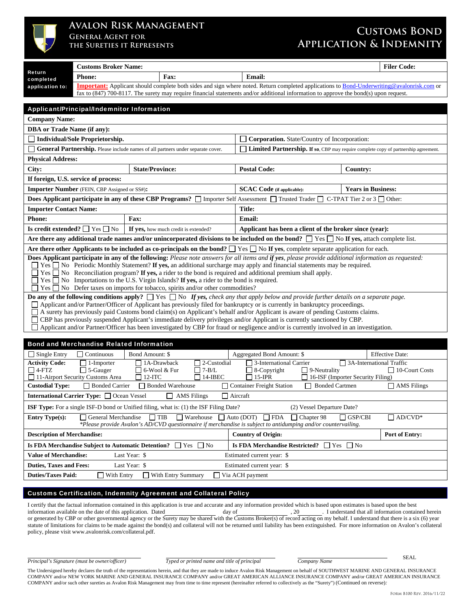

## **Avalon Risk Management General Agent for**

**the Sureties it Represents** 

## **Customs Bond Application & Indemnity**

|                                                                                                                                                                                                                                                                                          | <b>Customs Broker Name:</b>                         |                        |                                                                                                                        |                                                         |                                                                                                                                                                                                                                                                                               |  |                                     | <b>Filer Code:</b>                                                                                                                                       |
|------------------------------------------------------------------------------------------------------------------------------------------------------------------------------------------------------------------------------------------------------------------------------------------|-----------------------------------------------------|------------------------|------------------------------------------------------------------------------------------------------------------------|---------------------------------------------------------|-----------------------------------------------------------------------------------------------------------------------------------------------------------------------------------------------------------------------------------------------------------------------------------------------|--|-------------------------------------|----------------------------------------------------------------------------------------------------------------------------------------------------------|
| Return<br>completed                                                                                                                                                                                                                                                                      | <b>Phone:</b><br>Fax:                               |                        |                                                                                                                        |                                                         | <b>Email:</b>                                                                                                                                                                                                                                                                                 |  |                                     |                                                                                                                                                          |
| application to:                                                                                                                                                                                                                                                                          |                                                     |                        |                                                                                                                        |                                                         |                                                                                                                                                                                                                                                                                               |  |                                     | <b>Important:</b> Applicant should complete both sides and sign where noted. Return completed applications to <b>Bond-Underwriting@avalonrisk.com</b> or |
|                                                                                                                                                                                                                                                                                          |                                                     |                        |                                                                                                                        |                                                         | fax to (847) 700-8117. The surety may require financial statements and/or additional information to approve the bond(s) upon request.                                                                                                                                                         |  |                                     |                                                                                                                                                          |
|                                                                                                                                                                                                                                                                                          | Applicant/Principal/Indemnitor Information          |                        |                                                                                                                        |                                                         |                                                                                                                                                                                                                                                                                               |  |                                     |                                                                                                                                                          |
| <b>Company Name:</b>                                                                                                                                                                                                                                                                     |                                                     |                        |                                                                                                                        |                                                         |                                                                                                                                                                                                                                                                                               |  |                                     |                                                                                                                                                          |
| <b>DBA</b> or Trade Name (if any):                                                                                                                                                                                                                                                       |                                                     |                        |                                                                                                                        |                                                         |                                                                                                                                                                                                                                                                                               |  |                                     |                                                                                                                                                          |
| <b>Individual/Sole Proprietorship.</b><br><b>Corporation.</b> State/Country of Incorporation:                                                                                                                                                                                            |                                                     |                        |                                                                                                                        |                                                         |                                                                                                                                                                                                                                                                                               |  |                                     |                                                                                                                                                          |
|                                                                                                                                                                                                                                                                                          |                                                     |                        | <b>General Partnership.</b> Please include names of all partners under separate cover.                                 |                                                         | <b>Limited Partnership.</b> If so, CBP may require complete copy of partnership agreement.                                                                                                                                                                                                    |  |                                     |                                                                                                                                                          |
| <b>Physical Address:</b>                                                                                                                                                                                                                                                                 |                                                     |                        |                                                                                                                        |                                                         |                                                                                                                                                                                                                                                                                               |  |                                     |                                                                                                                                                          |
| City:                                                                                                                                                                                                                                                                                    |                                                     | <b>State/Province:</b> |                                                                                                                        |                                                         | <b>Postal Code:</b>                                                                                                                                                                                                                                                                           |  | Country:                            |                                                                                                                                                          |
|                                                                                                                                                                                                                                                                                          | If foreign, U.S. service of process:                |                        |                                                                                                                        |                                                         |                                                                                                                                                                                                                                                                                               |  |                                     |                                                                                                                                                          |
|                                                                                                                                                                                                                                                                                          | <b>Importer Number</b> (FEIN, CBP Assigned or SS#): |                        |                                                                                                                        |                                                         | <b>SCAC Code</b> (if applicable):                                                                                                                                                                                                                                                             |  | <b>Years in Business:</b>           |                                                                                                                                                          |
|                                                                                                                                                                                                                                                                                          |                                                     |                        |                                                                                                                        |                                                         | <b>Does Applicant participate in any of these CBP Programs?</b> $\Box$ Importer Self Assessment $\Box$ Trusted Trader $\Box$                                                                                                                                                                  |  | C-TPAT Tier 2 or $3 \square$ Other: |                                                                                                                                                          |
| <b>Importer Contact Name:</b>                                                                                                                                                                                                                                                            |                                                     |                        |                                                                                                                        |                                                         | <b>Title:</b>                                                                                                                                                                                                                                                                                 |  |                                     |                                                                                                                                                          |
| <b>Phone:</b>                                                                                                                                                                                                                                                                            |                                                     | <b>Fax:</b>            |                                                                                                                        |                                                         | <b>Email:</b>                                                                                                                                                                                                                                                                                 |  |                                     |                                                                                                                                                          |
| Is credit extended? $\Box$ Yes $\Box$ No                                                                                                                                                                                                                                                 |                                                     |                        | If yes, how much credit is extended?                                                                                   | Applicant has been a client of the broker since (year): |                                                                                                                                                                                                                                                                                               |  |                                     |                                                                                                                                                          |
|                                                                                                                                                                                                                                                                                          |                                                     |                        |                                                                                                                        |                                                         | Are there any additional trade names and/or unincorporated divisions to be included on the bond? $\Box$ Yes $\Box$ No If yes, attach complete list.                                                                                                                                           |  |                                     |                                                                                                                                                          |
|                                                                                                                                                                                                                                                                                          |                                                     |                        |                                                                                                                        |                                                         | Are there other Applicants to be included as co-principals on the bond? $\Box$ Yes $\Box$ No If yes, complete separate application for each.                                                                                                                                                  |  |                                     |                                                                                                                                                          |
|                                                                                                                                                                                                                                                                                          |                                                     |                        |                                                                                                                        |                                                         | Does Applicant participate in any of the following: Please note answers for all items and if yes, please provide additional information as requested:<br>$\Box$ Yes $\Box$ No Periodic Monthly Statement? If yes, an additional surcharge may apply and financial statements may be required. |  |                                     |                                                                                                                                                          |
|                                                                                                                                                                                                                                                                                          |                                                     |                        |                                                                                                                        |                                                         | $\blacksquare$ Yes $\blacksquare$ No Reconciliation program? If yes, a rider to the bond is required and additional premium shall apply.                                                                                                                                                      |  |                                     |                                                                                                                                                          |
|                                                                                                                                                                                                                                                                                          |                                                     |                        | $\blacksquare$ Yes $\blacksquare$ No Importations to the U.S. Virgin Islands? If yes, a rider to the bond is required. |                                                         |                                                                                                                                                                                                                                                                                               |  |                                     |                                                                                                                                                          |
|                                                                                                                                                                                                                                                                                          |                                                     |                        | Tes □ No Defer taxes on imports for tobacco, spirits and/or other commodities?                                         |                                                         |                                                                                                                                                                                                                                                                                               |  |                                     |                                                                                                                                                          |
|                                                                                                                                                                                                                                                                                          |                                                     |                        |                                                                                                                        |                                                         | <b>Do any of the following conditions apply?</b> $\Box$ Yes $\Box$ No If yes, check any that apply below and provide further details on a separate page.<br>□ Applicant and/or Partner/Officer of Applicant has previously filed for bankruptcy or is currently in bankruptcy proceedings.    |  |                                     |                                                                                                                                                          |
|                                                                                                                                                                                                                                                                                          |                                                     |                        |                                                                                                                        |                                                         | A surety has previously paid Customs bond claim(s) on Applicant's behalf and/or Applicant is aware of pending Customs claims.                                                                                                                                                                 |  |                                     |                                                                                                                                                          |
|                                                                                                                                                                                                                                                                                          |                                                     |                        |                                                                                                                        |                                                         | □ CBP has previously suspended Applicant's immediate delivery privileges and/or Applicant is currently sanctioned by CBP.                                                                                                                                                                     |  |                                     |                                                                                                                                                          |
|                                                                                                                                                                                                                                                                                          |                                                     |                        |                                                                                                                        |                                                         | Applicant and/or Partner/Officer has been investigated by CBP for fraud or negligence and/or is currently involved in an investigation.                                                                                                                                                       |  |                                     |                                                                                                                                                          |
|                                                                                                                                                                                                                                                                                          | <b>Bond and Merchandise Related Information</b>     |                        |                                                                                                                        |                                                         |                                                                                                                                                                                                                                                                                               |  |                                     |                                                                                                                                                          |
| $\Box$ Single Entry                                                                                                                                                                                                                                                                      | $\Box$ Continuous                                   | Bond Amount: \$        |                                                                                                                        |                                                         | Aggregated Bond Amount: \$                                                                                                                                                                                                                                                                    |  |                                     | <b>Effective Date:</b>                                                                                                                                   |
| <b>Activity Code:</b>                                                                                                                                                                                                                                                                    | $\Box$ 1-Importer                                   |                        | 72-Custodial<br>1A-Drawback                                                                                            |                                                         | 3-International Carrier                                                                                                                                                                                                                                                                       |  | $\Box$ 3A-International Traffic     |                                                                                                                                                          |
| $\Box$ 4-FTZ<br>$\Box$ 7-B/L<br>$\Box$ 8-Copyright<br>$\Box$ 5-Gauger<br>6-Wool & Fur<br>$\Box$ 9-Neutrality<br>$\Box$ 10-Court Costs<br>$\Box$ 15-IPR<br>11-Airport Security Customs Area<br>$12-ITC$<br>$\Box$ 14-IBEC<br>16-ISF (Importer Security Filing)                            |                                                     |                        |                                                                                                                        |                                                         |                                                                                                                                                                                                                                                                                               |  |                                     |                                                                                                                                                          |
| □ Bonded Warehouse<br>Container Freight Station<br><b>Custodial Type:</b><br><b>Bonded Carrier</b><br>□ Bonded Cartmen<br>$\Box$ AMS Filings                                                                                                                                             |                                                     |                        |                                                                                                                        |                                                         |                                                                                                                                                                                                                                                                                               |  |                                     |                                                                                                                                                          |
| International Carrier Type: □ Ocean Vessel<br>$\Box$ Aircraft<br><b>AMS</b> Filings<br>$\Box$                                                                                                                                                                                            |                                                     |                        |                                                                                                                        |                                                         |                                                                                                                                                                                                                                                                                               |  |                                     |                                                                                                                                                          |
| <b>ISF Type:</b> For a single ISF-D bond or Unified filing, what is: (1) the ISF Filing Date?<br>(2) Vessel Departure Date?                                                                                                                                                              |                                                     |                        |                                                                                                                        |                                                         |                                                                                                                                                                                                                                                                                               |  |                                     |                                                                                                                                                          |
| $\Box$ TIB<br>$\Box$ Warehouse $\Box$ Auto (DOT)<br>$\Box$ FDA<br>$\Box$ Chapter 98<br>$\Box$ AD/CVD*<br><b>Entry Type(s):</b><br>General Merchandise<br>$\Box$ GSP/CBI<br>*Please provide Avalon's AD/CVD questionnaire if merchandise is subject to antidumping and/or countervailing. |                                                     |                        |                                                                                                                        |                                                         |                                                                                                                                                                                                                                                                                               |  |                                     |                                                                                                                                                          |
| <b>Description of Merchandise:</b><br><b>Country of Origin:</b><br>Port of Entry:                                                                                                                                                                                                        |                                                     |                        |                                                                                                                        |                                                         |                                                                                                                                                                                                                                                                                               |  |                                     |                                                                                                                                                          |

**Is FDA Merchandise Subject to Automatic Detention?**  $\Box$  Yes  $\Box$  No **Is FDA Merchandise Restricted?**  $\Box$  Yes  $\Box$  No **Value of Merchandise:** Last Year: \$ Estimated current year: \$ **Duties, Taxes and Fees:** Last Year: \$ Estimated current year: \$ **Duties/Taxes Paid:**  $\Box$  With Entry  $\Box$  With Entry Summary  $\Box$  Via ACH payment

## Customs Certification, Indemnity Agreement and Collateral Policy

I certify that the factual information contained in this application is true and accurate and any information provided which is based upon estimates is based upon the best information available on the date of this applicat information available on the date of this application. Dated day of , 20 . I understand that all information contained herein or generated by CBP or other governmental agency or the Surety may be shared with the Customs Broker(s) of record acting on my behalf. I understand that there is a six (6) year statute of limitations for claims to be made against the bond(s) and collateral will not be returned until liability has been extinguished. For more information on Avalon's collateral policy, please visit www.avalonrisk.com/collateral.pdf.

*Principal's Signature (must be owner/officer) Typed or printed name and title of principal Company Name* 

SEAL

The Undersigned hereby declares the truth of the representations herein, and that they are made to induce Avalon Risk Management on behalf of SOUTHWEST MARINE AND GENERAL INSURANCE COMPANY and/or NEW YORK MARINE AND GENERAL INSURANCE COMPANY and/or GREAT AMERICAN ALLIANCE INSURANCE COMPANY and/or GREAT AMERICAN INSURANCE COMPANY and/or such other sureties as Avalon Risk Management may from time to time represent (hereinafter referred to collectively as the "Surety") (Continued on reverse)*:*